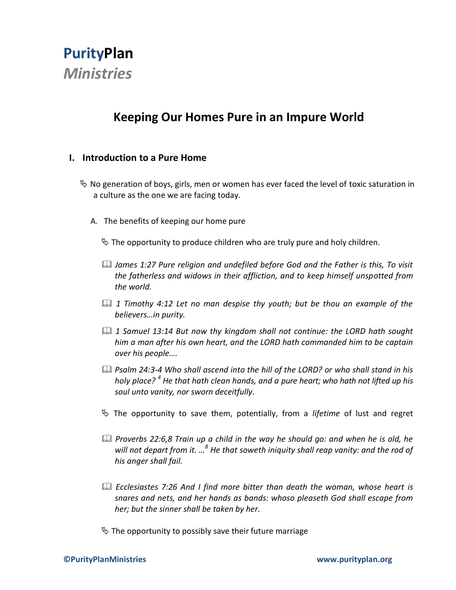

# **Keeping Our Homes Pure in an Impure World**

#### **I. Introduction to a Pure Home**

- $\%$  No generation of boys, girls, men or women has ever faced the level of toxic saturation in a culture as the one we are facing today.
	- A. The benefits of keeping our home pure

 $\&$  The opportunity to produce children who are truly pure and holy children.

- *James 1:27 Pure religion and undefiled before God and the Father is this, To visit the fatherless and widows in their affliction, and to keep himself unspotted from the world.*
- *1 Timothy 4:12 Let no man despise thy youth; but be thou an example of the believers…in purity.*
- *1 Samuel 13:14 But now thy kingdom shall not continue: the LORD hath sought him a man after his own heart, and the LORD hath commanded him to be captain over his people….*
- *Psalm 24:3-4 Who shall ascend into the hill of the LORD? or who shall stand in his holy place? <sup>4</sup> He that hath clean hands, and a pure heart; who hath not lifted up his soul unto vanity, nor sworn deceitfully.*
- The opportunity to save them, potentially, from a *lifetime* of lust and regret
- *Proverbs 22:6,8 Train up a child in the way he should go: and when he is old, he will not depart from it. …<sup>8</sup> He that soweth iniquity shall reap vanity: and the rod of his anger shall fail.*
- *Ecclesiastes 7:26 And I find more bitter than death the woman, whose heart is snares and nets, and her hands as bands: whoso pleaseth God shall escape from her; but the sinner shall be taken by her.*
- $\%$  The opportunity to possibly save their future marriage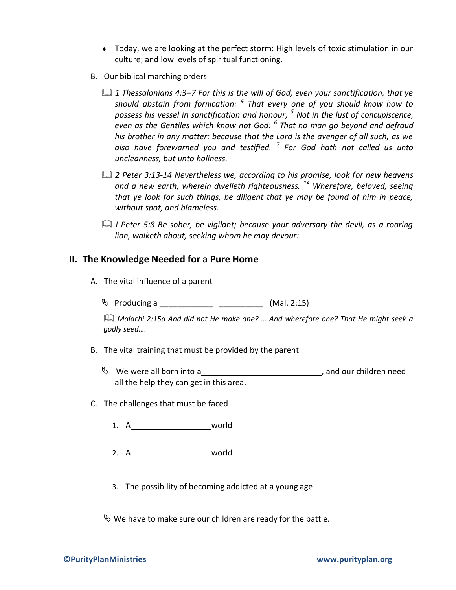- Today, we are looking at the perfect storm: High levels of toxic stimulation in our culture; and low levels of spiritual functioning.
- B. Our biblical marching orders
	- *1 Thessalonians 4:3–7 For this is the will of God, even your sanctification, that ye should abstain from fornication: <sup>4</sup> That every one of you should know how to possess his vessel in sanctification and honour; <sup>5</sup> Not in the lust of concupiscence, even as the Gentiles which know not God: <sup>6</sup> That no man go beyond and defraud his brother in any matter: because that the Lord is the avenger of all such, as we also have forewarned you and testified. <sup>7</sup> For God hath not called us unto uncleanness, but unto holiness.*
	- *2 Peter 3:13-14 Nevertheless we, according to his promise, look for new heavens and a new earth, wherein dwelleth righteousness. <sup>14</sup> Wherefore, beloved, seeing that ye look for such things, be diligent that ye may be found of him in peace, without spot, and blameless.*
	- *I Peter 5:8 Be sober, be vigilant; because your adversary the devil, as a roaring lion, walketh about, seeking whom he may devour:*

#### **II. The Knowledge Needed for a Pure Home**

A. The vital influence of a parent

Producing a \_\_\_\_\_\_\_\_\_\_\_\_ \_\_\_\_\_\_\_\_\_\_ (Mal. 2:15)

 *Malachi 2:15a And did not He make one? … And wherefore one? That He might seek a godly seed….*

- B. The vital training that must be provided by the parent
	- We were all born into a , and our children need all the help they can get in this area.
- C. The challenges that must be faced
	- 1. A\_\_\_\_\_\_\_\_\_\_\_\_\_\_\_\_\_\_\_\_\_\_\_\_world
	- 2. A world
	- 3. The possibility of becoming addicted at a young age

 $\%$  We have to make sure our children are ready for the battle.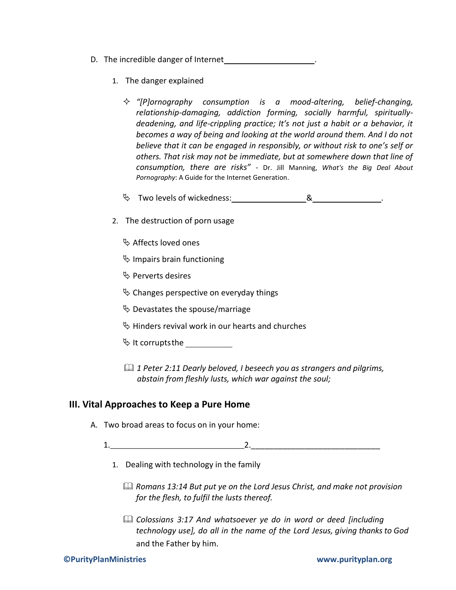- D. The incredible danger of Internet
	- 1. The danger explained
		- *"[P]ornography consumption is a mood-altering, belief-changing, relationship-damaging, addiction forming, socially harmful, spirituallydeadening, and life-crippling practice; It's not just a habit or a behavior, it becomes a way of being and looking at the world around them. And I do not believe that it can be engaged in responsibly, or without risk to one's self or others. That risk may not be immediate, but at somewhere down that line of consumption, there are risks"* - Dr. Jill Manning, *What's the Big Deal About Pornography*: A Guide for the Internet Generation.
		- Two levels of wickedness: & .
	- 2. The destruction of porn usage
		- $\mathfrak{B}$  Affects loved ones
		- $\%$  Impairs brain functioning
		- $\mathfrak{G}$  Perverts desires
		- $\%$  Changes perspective on everyday things
		- $\%$  Devastates the spouse/marriage
		- $\overset{\text{\tiny{(1)}}}{\triangleright}$  Hinders revival work in our hearts and churches
		- $\%$  It corrupts the
		- *1 Peter 2:11 Dearly beloved, I beseech you as strangers and pilgrims, abstain from fleshly lusts, which war against the soul;*

#### **III. Vital Approaches to Keep a Pure Home**

- A. Two broad areas to focus on in your home:
	- 1.  $\qquad \qquad 2.$ 
		- 1. Dealing with technology in the family
			- *Romans 13:14 But put ye on the Lord Jesus Christ, and make not provision for the flesh, to fulfil the lusts thereof.*
			- *Colossians 3:17 And whatsoever ye do in word or deed [including technology use], do all in the name of the Lord Jesus, giving thanksto God* and the Father by him.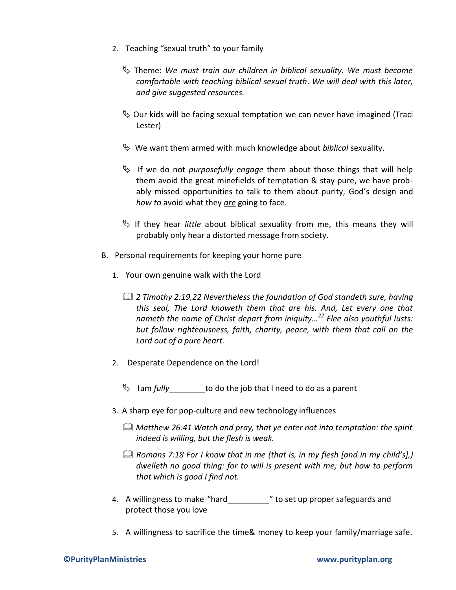- 2. Teaching "sexual truth" to your family
	- Theme: *We must train our children in biblical sexuality. We must become comfortable with teaching biblical sexual truth*. *We will deal with this later, and give suggested resources.*
	- $\%$  Our kids will be facing sexual temptation we can never have imagined (Traci Lester)
	- We want them armed with much knowledge about *biblical* sexuality.
	- If we do not *purposefully engage* them about those things that will help them avoid the great minefields of temptation & stay pure, we have probably missed opportunities to talk to them about purity, God's design and *how to* avoid what they *are* going to face.
	- If they hear *little* about biblical sexuality from me, this means they will probably only hear a distorted message from society.
- B. Personal requirements for keeping your home pure
	- 1. Your own genuine walk with the Lord
		- *2 Timothy 2:19,22 Nevertheless the foundation of God standeth sure, having this seal, The Lord knoweth them that are his. And, Let every one that nameth the name of Christ depart from iniquity… <sup>22</sup> Flee also youthful lusts: but follow righteousness, faith, charity, peace, with them that call on the Lord out of a pure heart.*
	- 2. Desperate Dependence on the Lord!
		- Iam *fully* to do the job that I need to do as a parent
	- 3. A sharp eye for pop-culture and new technology influences
		- *Matthew 26:41 Watch and pray, that ye enter not into temptation: the spirit indeed is willing, but the flesh is weak.*
		- *Romans 7:18 For I know that in me (that is, in my flesh [and in my child's],) dwelleth no good thing: for to will is present with me; but how to perform that which is good I find not.*
	- 4. A willingness to make "hard\_\_\_\_\_\_\_\_\_\_\_\_" to set up proper safeguards and protect those you love
	- 5. A willingness to sacrifice the time& money to keep your family/marriage safe.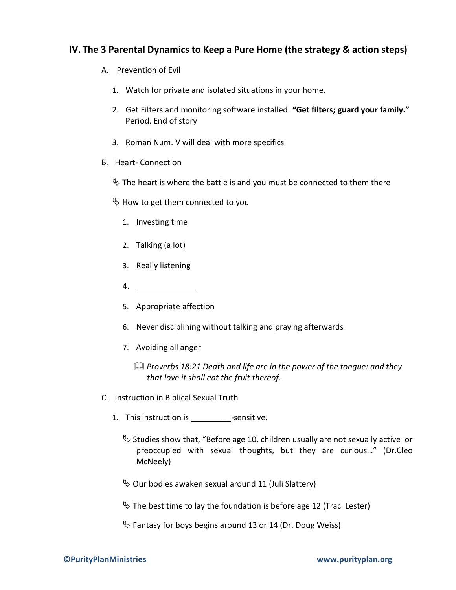### **IV. The 3 Parental Dynamics to Keep a Pure Home (the strategy & action steps)**

- A. Prevention of Evil
	- 1. Watch for private and isolated situations in your home.
	- 2. Get Filters and monitoring software installed. **"Get filters; guard your family."**  Period. End of story
	- 3. Roman Num. V will deal with more specifics
- B. Heart- Connection
	- $\psi$  The heart is where the battle is and you must be connected to them there
	- $\%$  How to get them connected to you
		- 1. Investing time
		- 2. Talking (a lot)
		- 3. Really listening
		- 4.
		- 5. Appropriate affection
		- 6. Never disciplining without talking and praying afterwards
		- 7. Avoiding all anger
			- *Proverbs 18:21 Death and life are in the power of the tongue: and they that love it shall eat the fruit thereof.*
- C. Instruction in Biblical Sexual Truth
	- 1. This instruction is esensitive.
		- $\&$  Studies show that, "Before age 10, children usually are not sexually active or preoccupied with sexual thoughts, but they are curious…" (Dr.Cleo McNeely)
		- $\%$  Our bodies awaken sexual around 11 (Juli Slattery)
		- $\%$  The best time to lay the foundation is before age 12 (Traci Lester)
		- $\%$  Fantasy for boys begins around 13 or 14 (Dr. Doug Weiss)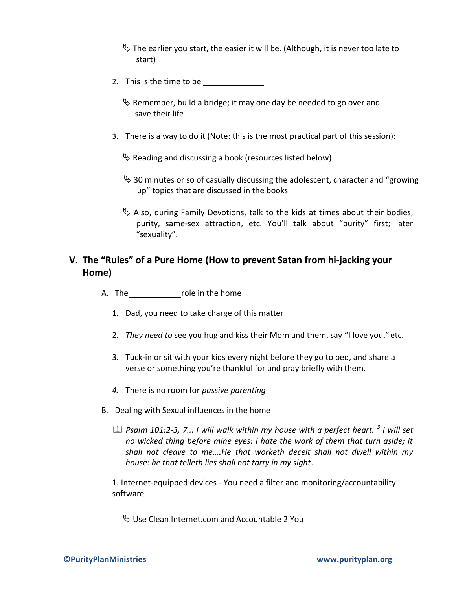- $\%$  The earlier you start, the easier it will be. (Although, it is never too late to start)
- 2. This is the time to be
	- $\&$  Remember, build a bridge; it may one day be needed to go over and save their life
- 3. There is a way to do it (Note: this is the most practical part of this session):

 $\&$  Reading and discussing a book (resources listed below)

- $\%$  30 minutes or so of casually discussing the adolescent, character and "growing" up" topics that are discussed in the books
- $\%$  Also, during Family Devotions, talk to the kids at times about their bodies, purity, same-sex attraction, etc. You'll talk about "purity" first; later "sexuality".

## **V. The "Rules" of a Pure Home (How to prevent Satan from hi-jacking your Home)**

- A. The role in the home
	- 1. Dad, you need to take charge of this matter
	- 2. *They need to* see you hug and kiss their Mom and them, say "I love you," etc.
	- 3. Tuck-in or sit with your kids every night before they go to bed, and share a verse or something you're thankful for and pray briefly with them.
	- *4.* There is no room for *passive parenting*
- B. Dealing with Sexual influences in the home
	- *Psalm 101:2-3, 7... I will walk within my house with a perfect heart. <sup>3</sup> I will set no wicked thing before mine eyes: I hate the work of them that turn aside; it shall not cleave to me….He that worketh deceit shall not dwell within my house: he that telleth lies shall not tarry in my sight*.

1. Internet-equipped devices - You need a filter and monitoring/accountability software

Use Clean Internet.com and Accountable 2 You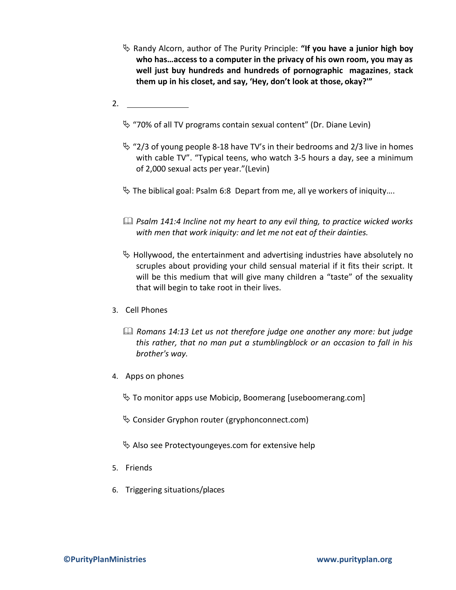- Randy Alcorn, author of The Purity Principle: **"If you have a junior high boy who has…access to a computer in the privacy of his own room, you may as well just buy hundreds and hundreds of pornographic magazines**, **stack them up in his closet, and say, 'Hey, don't look at those, okay?'"**
- 2.
	- $\%$  "70% of all TV programs contain sexual content" (Dr. Diane Levin)
	- $\%$  "2/3 of young people 8-18 have TV's in their bedrooms and 2/3 live in homes with cable TV". "Typical teens, who watch 3-5 hours a day, see a minimum of 2,000 sexual acts per year."(Levin)
	- $\%$  The biblical goal: Psalm 6:8 Depart from me, all ye workers of iniquity....
	- *Psalm 141:4 Incline not my heart to any evil thing, to practice wicked works with men that work iniquity: and let me not eat of their dainties.*
	- $\&$  Hollywood, the entertainment and advertising industries have absolutely no scruples about providing your child sensual material if it fits their script. It will be this medium that will give many children a "taste" of the sexuality that will begin to take root in their lives.
- 3. Cell Phones
	- *Romans 14:13 Let us not therefore judge one another any more: but judge this rather, that no man put a stumblingblock or an occasion to fall in his brother's way.*
- 4. Apps on phones
	- $\%$  To monitor apps use Mobicip, Boomerang [useboomerang.com]
	- $\&$  Consider Gryphon router (gryphonconnect.com)
	- $\&$  Also see Protectyoungeyes.com for extensive help
- 5. Friends
- 6. Triggering situations/places